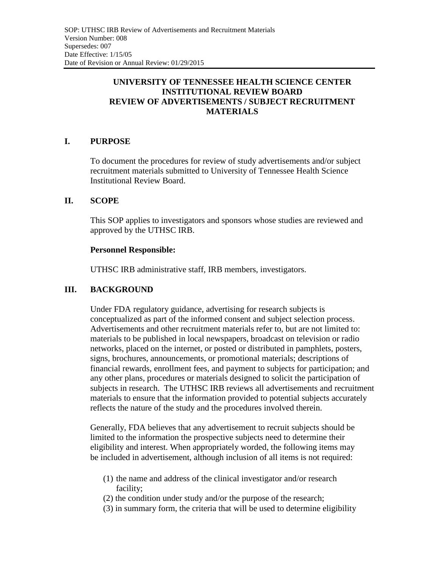## **UNIVERSITY OF TENNESSEE HEALTH SCIENCE CENTER INSTITUTIONAL REVIEW BOARD REVIEW OF ADVERTISEMENTS / SUBJECT RECRUITMENT MATERIALS**

# **I. PURPOSE**

To document the procedures for review of study advertisements and/or subject recruitment materials submitted to University of Tennessee Health Science Institutional Review Board.

### **II. SCOPE**

This SOP applies to investigators and sponsors whose studies are reviewed and approved by the UTHSC IRB.

#### **Personnel Responsible:**

UTHSC IRB administrative staff, IRB members, investigators.

## **III. BACKGROUND**

Under FDA regulatory guidance, advertising for research subjects is conceptualized as part of the informed consent and subject selection process. Advertisements and other recruitment materials refer to, but are not limited to: materials to be published in local newspapers, broadcast on television or radio networks, placed on the internet, or posted or distributed in pamphlets, posters, signs, brochures, announcements, or promotional materials; descriptions of financial rewards, enrollment fees, and payment to subjects for participation; and any other plans, procedures or materials designed to solicit the participation of subjects in research. The UTHSC IRB reviews all advertisements and recruitment materials to ensure that the information provided to potential subjects accurately reflects the nature of the study and the procedures involved therein.

Generally, FDA believes that any advertisement to recruit subjects should be limited to the information the prospective subjects need to determine their eligibility and interest. When appropriately worded, the following items may be included in advertisement, although inclusion of all items is not required:

- (1) the name and address of the clinical investigator and/or research facility;
- (2) the condition under study and/or the purpose of the research;
- (3) in summary form, the criteria that will be used to determine eligibility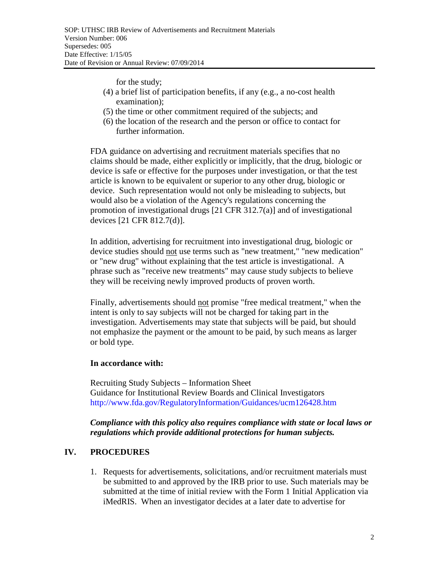for the study;

- (4) a brief list of participation benefits, if any (e.g., a no-cost health examination);
- (5) the time or other commitment required of the subjects; and
- (6) the location of the research and the person or office to contact for further information.

FDA guidance on advertising and recruitment materials specifies that no claims should be made, either explicitly or implicitly, that the drug, biologic or device is safe or effective for the purposes under investigation, or that the test article is known to be equivalent or superior to any other drug, biologic or device. Such representation would not only be misleading to subjects, but would also be a violation of the Agency's regulations concerning the promotion of investigational drugs [21 CFR 312.7(a)] and of investigational devices [21 CFR 812.7(d)].

In addition, advertising for recruitment into investigational drug, biologic or device studies should not use terms such as "new treatment," "new medication" or "new drug" without explaining that the test article is investigational. A phrase such as "receive new treatments" may cause study subjects to believe they will be receiving newly improved products of proven worth.

Finally, advertisements should not promise "free medical treatment," when the intent is only to say subjects will not be charged for taking part in the investigation. Advertisements may state that subjects will be paid, but should not emphasize the payment or the amount to be paid, by such means as larger or bold type.

#### **In accordance with:**

Recruiting Study Subjects – Information Sheet Guidance for Institutional Review Boards and Clinical Investigators http://www.fda.gov/RegulatoryInformation/Guidances/ucm126428.htm

### *Compliance with this policy also requires compliance with state or local laws or regulations which provide additional protections for human subjects.*

## **IV. PROCEDURES**

1. Requests for advertisements, solicitations, and/or recruitment materials must be submitted to and approved by the IRB prior to use. Such materials may be submitted at the time of initial review with the Form 1 Initial Application via iMedRIS. When an investigator decides at a later date to advertise for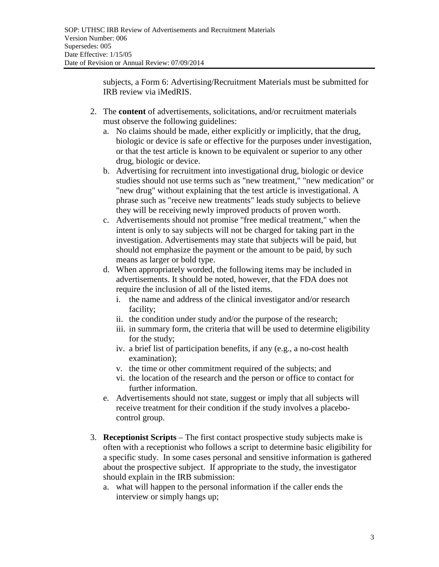subjects, a Form 6: Advertising/Recruitment Materials must be submitted for IRB review via iMedRIS.

- 2. The **content** of advertisements, solicitations, and/or recruitment materials must observe the following guidelines:
	- a. No claims should be made, either explicitly or implicitly, that the drug, biologic or device is safe or effective for the purposes under investigation, or that the test article is known to be equivalent or superior to any other drug, biologic or device.
	- b. Advertising for recruitment into investigational drug, biologic or device studies should not use terms such as "new treatment," "new medication" or "new drug" without explaining that the test article is investigational. A phrase such as "receive new treatments" leads study subjects to believe they will be receiving newly improved products of proven worth.
	- c. Advertisements should not promise "free medical treatment," when the intent is only to say subjects will not be charged for taking part in the investigation. Advertisements may state that subjects will be paid, but should not emphasize the payment or the amount to be paid, by such means as larger or bold type.
	- d. When appropriately worded, the following items may be included in advertisements. It should be noted, however, that the FDA does not require the inclusion of all of the listed items.
		- i. the name and address of the clinical investigator and/or research facility;
		- ii. the condition under study and/or the purpose of the research;
		- iii. in summary form, the criteria that will be used to determine eligibility for the study;
		- iv. a brief list of participation benefits, if any (e.g., a no-cost health examination);
		- v. the time or other commitment required of the subjects; and
		- vi. the location of the research and the person or office to contact for further information.
	- e. Advertisements should not state, suggest or imply that all subjects will receive treatment for their condition if the study involves a placebocontrol group.
- 3. **Receptionist Scripts** The first contact prospective study subjects make is often with a receptionist who follows a script to determine basic eligibility for a specific study. In some cases personal and sensitive information is gathered about the prospective subject. If appropriate to the study, the investigator should explain in the IRB submission:
	- a. what will happen to the personal information if the caller ends the interview or simply hangs up;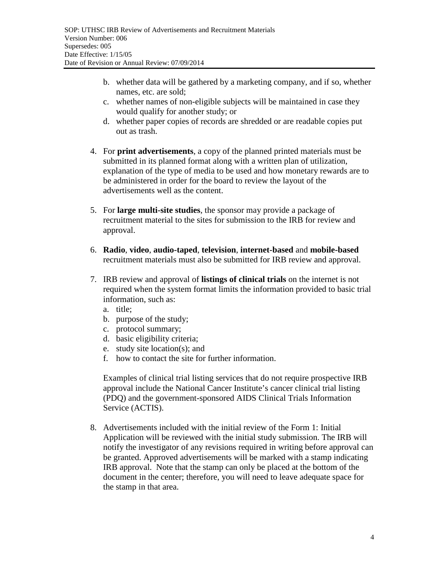- b. whether data will be gathered by a marketing company, and if so, whether names, etc. are sold;
- c. whether names of non-eligible subjects will be maintained in case they would qualify for another study; or
- d. whether paper copies of records are shredded or are readable copies put out as trash.
- 4. For **print advertisements**, a copy of the planned printed materials must be submitted in its planned format along with a written plan of utilization, explanation of the type of media to be used and how monetary rewards are to be administered in order for the board to review the layout of the advertisements well as the content.
- 5. For **large multi-site studies**, the sponsor may provide a package of recruitment material to the sites for submission to the IRB for review and approval.
- 6. **Radio**, **video**, **audio-taped**, **television**, **internet-based** and **mobile-based** recruitment materials must also be submitted for IRB review and approval.
- 7. IRB review and approval of **listings of clinical trials** on the internet is not required when the system format limits the information provided to basic trial information, such as:
	- a. title;
	- b. purpose of the study;
	- c. protocol summary;
	- d. basic eligibility criteria;
	- e. study site location(s); and
	- f. how to contact the site for further information.

Examples of clinical trial listing services that do not require prospective IRB approval include the National Cancer Institute's cancer clinical trial listing (PDQ) and the government-sponsored AIDS Clinical Trials Information Service (ACTIS).

8. Advertisements included with the initial review of the Form 1: Initial Application will be reviewed with the initial study submission. The IRB will notify the investigator of any revisions required in writing before approval can be granted. Approved advertisements will be marked with a stamp indicating IRB approval. Note that the stamp can only be placed at the bottom of the document in the center; therefore, you will need to leave adequate space for the stamp in that area.